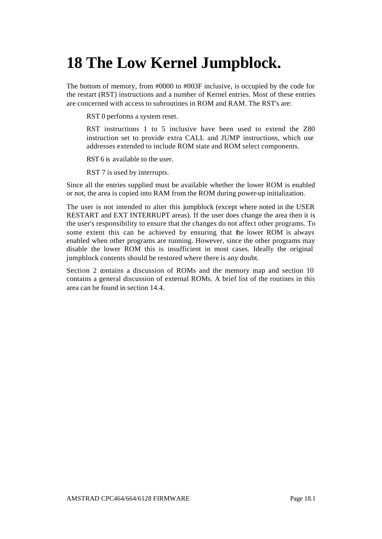# **18 The Low Kernel Jumpblock.**

The bottom of memory, from #0000 to #003F inclusive, is occupied by the code for the restart (RST) instructions and a number of Kernel entries. Most of these entries are concerned with access to subroutines in ROM and RAM. The RST's are:

RST 0 performs a system reset.

RST instructions 1 to 5 inclusive have been used to extend the Z80 instruction set to provide extra CALL and JUMP instructions, which use addresses extended to include ROM state and ROM select components.

RST 6 is available to the user.

RST 7 is used by interrupts.

Since all the entries supplied must be available whether the lower ROM is enabled or not, the area is copied into RAM from the ROM during power-up initialization.

The user is not intended to alter this jumpblock (except where noted in the USER RESTART and EXT INTERRUPT areas). If the user does change the area then it is the user's responsibility to ensure that the changes do not affect other programs. To some extent this can be achieved by ensuring that the lower ROM is always enabled when other programs are running. However, since the other programs may disable the lower ROM this is insufficient in most cases. Ideally the original jumpblock contents should be restored where there is any doubt.

Section 2 contains a discussion of ROMs and the memory map and section 10 contains a general discussion of external ROMs. A brief list of the routines in this area can be found in section 14.4.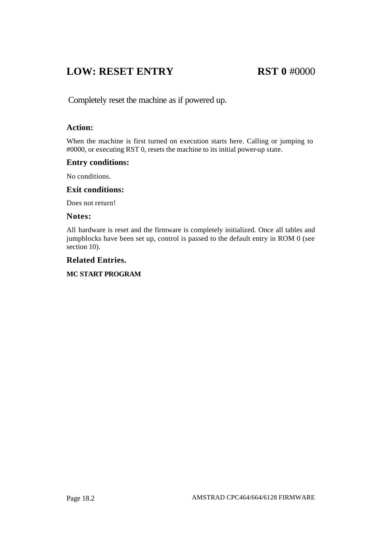### **LOW: RESET ENTRY RST 0** #0000

Completely reset the machine as if powered up.

#### **Action:**

When the machine is first turned on execution starts here. Calling or jumping to #0000, or executing RST 0, resets the machine to its initial power-up state.

#### **Entry conditions:**

No conditions.

#### **Exit conditions:**

Does not return!

#### **Notes:**

All hardware is reset and the firmware is completely initialized. Once all tables and jumpblocks have been set up, control is passed to the default entry in ROM 0 (see section 10).

#### **Related Entries.**

#### **MC START PROGRAM**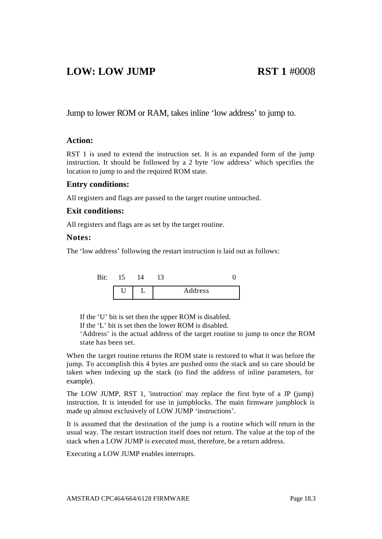### **LOW: LOW JUMP RST 1** #0008

Jump to lower ROM or RAM, takes inline 'low address' to jump to.

#### **Action:**

RST 1 is used to extend the instruction set. It is an expanded form of the jump instruction. It should be followed by a 2 byte 'low address' which specifies the location to jump to and the required ROM state.

#### **Entry conditions:**

All registers and flags are passed to the target routine untouched.

#### **Exit conditions:**

All registers and flags are as set by the target routine.

#### **Notes:**

The 'low address' following the restart instruction is laid out as follows:



If the 'U' bit is set then the upper ROM is disabled.

If the 'L' bit is set then the lower ROM is disabled.

'Address' is the actual address of the target routine to jump to once the ROM state has been set.

When the target routine returns the ROM state is restored to what it was before the jump. To accomplish this 4 bytes are pushed onto the stack and so care should be taken when indexing up the stack (to find the address of inline parameters, for example).

The LOW JUMP, RST 1, 'instruction' may replace the first byte of a JP (jump) instruction. It is intended for use in jumpblocks. The main firmware jumpblock is made up almost exclusively of LOW JUMP 'instructions'.

It is assumed that the destination of the jump is a routine which will return in the usual way. The restart instruction itself does not return. The value at the top of the stack when a LOW JUMP is executed must, therefore, be a return address.

Executing a LOW JUMP enables interrupts.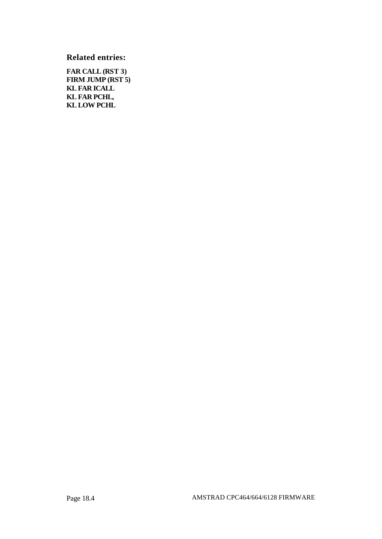**Related entries:**

**FAR CALL (RST 3) FIRM JUMP (RST 5) KL FAR ICALL KL FAR PCHL, KL LOW PCHL**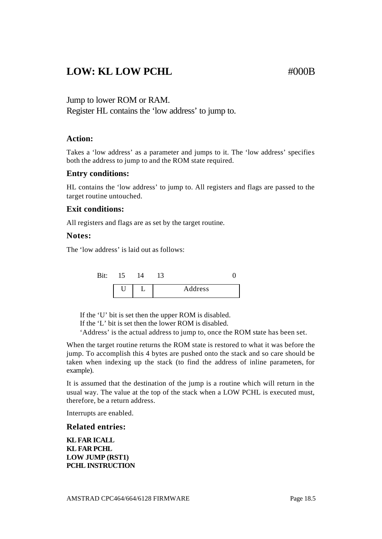### LOW: KL LOW PCHL #000B

#### Jump to lower ROM or RAM.

Register HL contains the 'low address' to jump to.

#### **Action:**

Takes a 'low address' as a parameter and jumps to it. The 'low address' specifies both the address to jump to and the ROM state required.

#### **Entry conditions:**

HL contains the 'low address' to jump to. All registers and flags are passed to the target routine untouched.

#### **Exit conditions:**

All registers and flags are as set by the target routine.

#### **Notes:**

The 'low address' is laid out as follows:



If the 'U' bit is set then the upper ROM is disabled.

If the 'L' bit is set then the lower ROM is disabled.

'Address' is the actual address to jump to, once the ROM state has been set.

When the target routine returns the ROM state is restored to what it was before the jump. To accomplish this 4 bytes are pushed onto the stack and so care should be taken when indexing up the stack (to find the address of inline parameters, for example).

It is assumed that the destination of the jump is a routine which will return in the usual way. The value at the top of the stack when a LOW PCHL is executed must, therefore, be a return address.

Interrupts are enabled.

#### **Related entries:**

**KL FAR ICALL KL FAR PCHL LOW JUMP (RST1) PCHL INSTRUCTION**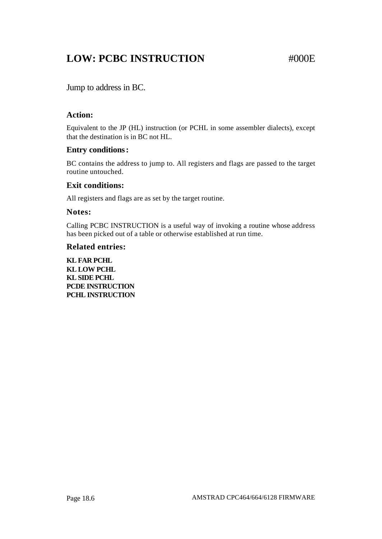## **LOW: PCBC INSTRUCTION #000E**

Jump to address in BC.

#### **Action:**

Equivalent to the JP (HL) instruction (or PCHL in some assembler dialects), except that the destination is in BC not HL.

#### **Entry conditions:**

BC contains the address to jump to. All registers and flags are passed to the target routine untouched.

#### **Exit conditions:**

All registers and flags are as set by the target routine.

#### **Notes:**

Calling PCBC INSTRUCTION is a useful way of invoking a routine whose address has been picked out of a table or otherwise established at run time.

#### **Related entries:**

**KL FAR PCHL KL LOW PCHL KL SIDE PCHL PCDE INSTRUCTION PCHL INSTRUCTION**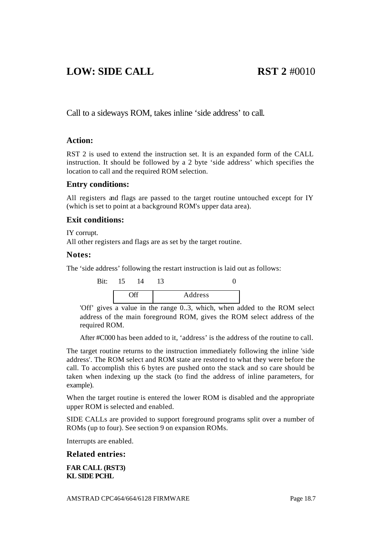### **LOW: SIDE CALL RST 2** #0010

Call to a sideways ROM, takes inline 'side address' to call.

#### **Action:**

RST 2 is used to extend the instruction set. It is an expanded form of the CALL instruction. It should be followed by a 2 byte 'side address' which specifies the location to call and the required ROM selection.

#### **Entry conditions:**

All registers and flags are passed to the target routine untouched except for IY (which is set to point at a background ROM's upper data area).

#### **Exit conditions:**

IY corrupt.

All other registers and flags are as set by the target routine.

#### **Notes:**

The 'side address' following the restart instruction is laid out as follows:



'Off' gives a value in the range 0..3, which, when added to the ROM select address of the main foreground ROM, gives the ROM select address of the required ROM.

After #C000 has been added to it, 'address' is the address of the routine to call.

The target routine returns to the instruction immediately following the inline 'side address'. The ROM select and ROM state are restored to what they were before the call. To accomplish this 6 bytes are pushed onto the stack and so care should be taken when indexing up the stack (to find the address of inline parameters, for example).

When the target routine is entered the lower ROM is disabled and the appropriate upper ROM is selected and enabled.

SIDE CALLs are provided to support foreground programs split over a number of ROMs (up to four). See section 9 on expansion ROMs.

Interrupts are enabled.

#### **Related entries:**

**FAR CALL (RST3) KL SIDE PCHL**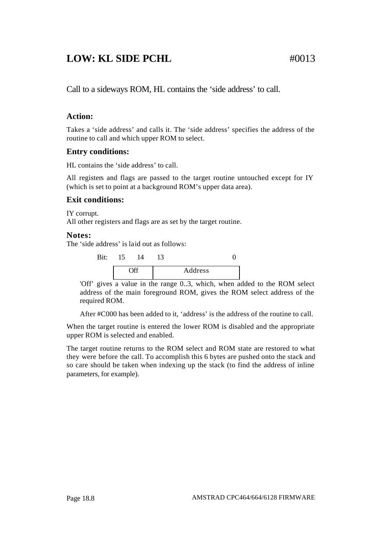### **LOW: KL SIDE PCHL** #0013

Call to a sideways ROM, HL contains the 'side address' to call.

### **Action:**

Takes a 'side address' and calls it. The 'side address' specifies the address of the routine to call and which upper ROM to select.

#### **Entry conditions:**

HL contains the 'side address' to call.

All registers and flags are passed to the target routine untouched except for IY (which is set to point at a background ROM's upper data area).

#### **Exit conditions:**

IY corrupt. All other registers and flags are as set by the target routine.

#### **Notes:**

The 'side address' is laid out as follows:



'Off' gives a value in the range 0..3, which, when added to the ROM select address of the main foreground ROM, gives the ROM select address of the required ROM.

After #C000 has been added to it, 'address' is the address of the routine to call.

When the target routine is entered the lower ROM is disabled and the appropriate upper ROM is selected and enabled.

The target routine returns to the ROM select and ROM state are restored to what they were before the call. To accomplish this 6 bytes are pushed onto the stack and so care should be taken when indexing up the stack (to find the address of inline parameters, for example).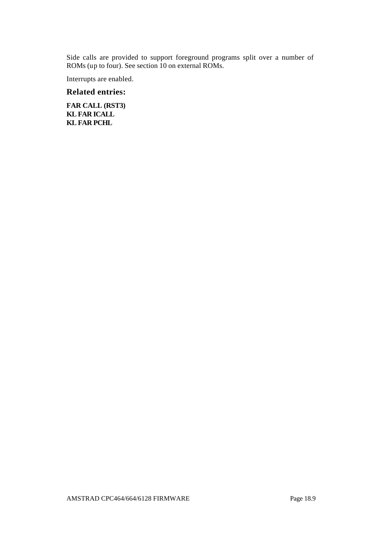Side calls are provided to support foreground programs split over a number of ROMs (up to four). See section 10 on external ROMs.

Interrupts are enabled.

#### **Related entries:**

**FAR CALL (RST3) KL FAR ICALL KL FAR PCHL**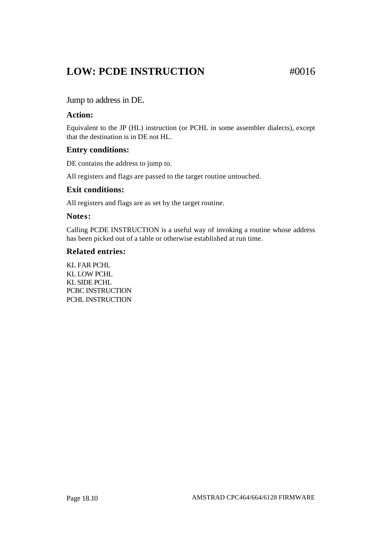### **LOW: PCDE INSTRUCTION** #0016

#### Jump to address in DE.

#### **Action:**

Equivalent to the JP (HL) instruction (or PCHL in some assembler dialects), except that the destination is in DE not HL.

#### **Entry conditions:**

DE contains the address to jump to.

All registers and flags are passed to the target routine untouched.

#### **Exit conditions:**

All registers and flags are as set by the target routine.

#### **Notes:**

Calling PCDE INSTRUCTION is a useful way of invoking a routine whose address has been picked out of a table or otherwise established at run time.

#### **Related entries:**

KL FAR PCHL KL LOW PCHL KL SIDE PCHL PCBC INSTRUCTION PCHL INSTRUCTION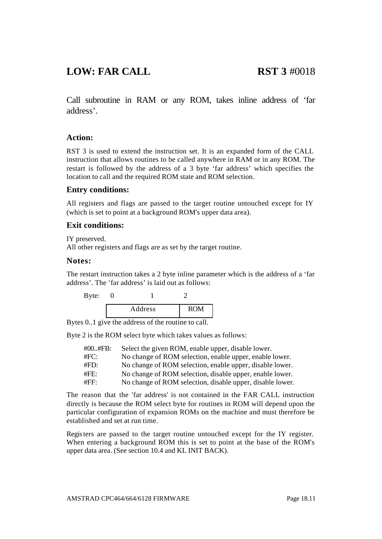### **LOW: FAR CALL RST 3** #0018

Call subroutine in RAM or any ROM, takes inline address of 'far address'.

#### **Action:**

RST 3 is used to extend the instruction set. It is an expanded form of the CALL instruction that allows routines to be called anywhere in RAM or in any ROM. The restart is followed by the address of a 3 byte 'far address' which specifies the location to call and the required ROM state and ROM selection.

#### **Entry conditions:**

All registers and flags are passed to the target routine untouched except for IY (which is set to point at a background ROM's upper data area).

#### **Exit conditions:**

IY preserved.

All other registers and flags are as set by the target routine.

#### **Notes:**

The restart instruction takes a 2 byte inline parameter which is the address of a 'far address'. The 'far address' is laid out as follows:

| Byte: |         |            |
|-------|---------|------------|
|       | Address | <b>ROM</b> |

Bytes 0..1 give the address of the routine to call.

Byte 2 is the ROM select byte which takes values as follows:

| $\#00.$ #FB: | Select the given ROM, enable upper, disable lower.        |
|--------------|-----------------------------------------------------------|
| #FC:         | No change of ROM selection, enable upper, enable lower.   |
| #FD:         | No change of ROM selection, enable upper, disable lower.  |
| #FE:         | No change of ROM selection, disable upper, enable lower.  |
| #FF:         | No change of ROM selection, disable upper, disable lower. |

The reason that the 'far address' is not contained in the FAR CALL instruction directly is because the ROM select byte for routines in ROM will depend upon the particular configuration of expansion ROMs on the machine and must therefore be established and set at run time.

Registers are passed to the target routine untouched except for the IY register. When entering a background ROM this is set to point at the base of the ROM's upper data area. (See section 10.4 and KL INIT BACK).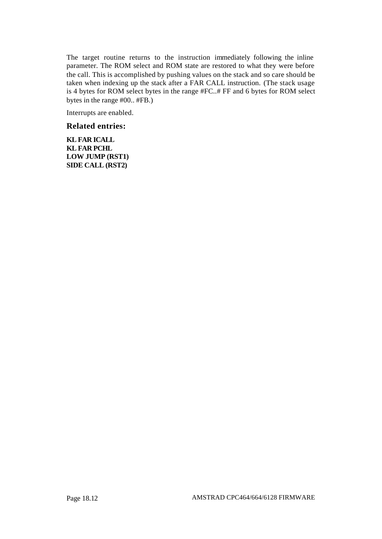The target routine returns to the instruction immediately following the inline parameter. The ROM select and ROM state are restored to what they were before the call. This is accomplished by pushing values on the stack and so care should be taken when indexing up the stack after a FAR CALL instruction. (The stack usage is 4 bytes for ROM select bytes in the range #FC..# FF and 6 bytes for ROM select bytes in the range #00.. #FB.)

Interrupts are enabled.

#### **Related entries:**

**KL FAR ICALL KL FAR PCHL LOW JUMP (RST1) SIDE CALL (RST2)**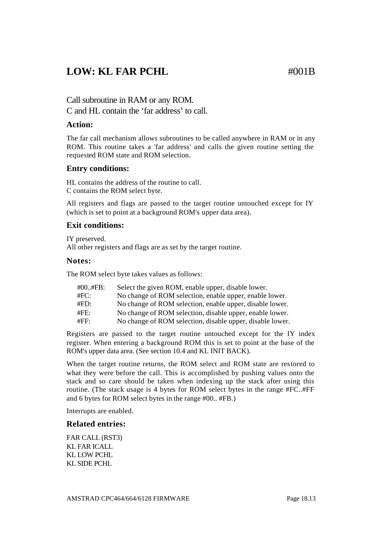### **LOW: KL FAR PCHL**  $\text{H}^{(0)}$   $\text{H}^{(0)}$

Call subroutine in RAM or any ROM. C and HL contain the 'far address' to call.

#### **Action:**

The far call mechanism allows subroutines to be called anywhere in RAM or in any ROM. This routine takes a 'far address' and calls the given routine setting the requested ROM state and ROM selection.

#### **Entry conditions:**

HL contains the address of the routine to call. C contains the ROM select byte.

All registers and flags are passed to the target routine untouched except for IY (which is set to point at a background ROM's upper data area).

#### **Exit conditions:**

IY preserved. All other registers and flags are as set by the target routine.

#### **Notes:**

The ROM select byte takes values as follows:

| $\#00.$ #FB: | Select the given ROM, enable upper, disable lower.        |
|--------------|-----------------------------------------------------------|
| #FC:         | No change of ROM selection, enable upper, enable lower.   |
| $\#FD:$      | No change of ROM selection, enable upper, disable lower.  |
| #FE:         | No change of ROM selection, disable upper, enable lower.  |
| #FF:         | No change of ROM selection, disable upper, disable lower. |
|              |                                                           |

Registers are passed to the target routine untouched except for the IY index register. When entering a background ROM this is set to point at the base of the ROM's upper data area. (See section 10.4 and KL INIT BACK).

When the target routine returns, the ROM select and ROM state are restored to what they were before the call. This is accomplished by pushing values onto the stack and so care should be taken when indexing up the stack after using this routine. (The stack usage is 4 bytes for ROM select bytes in the range #FC..#FF and 6 bytes for ROM select bytes in the range #00.. #FB.)

Interrupts are enabled.

#### **Related entries:**

FAR CALL (RST3) KL FAR ICALL KL LOW PCHL KL SIDE PCHL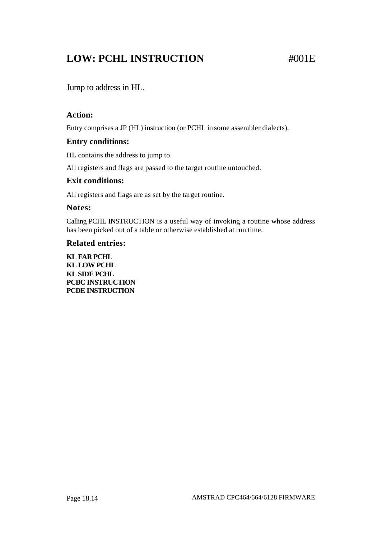## **LOW: PCHL INSTRUCTION #001E**

Jump to address in HL.

#### **Action:**

Entry comprises a JP (HL) instruction (or PCHL in some assembler dialects).

#### **Entry conditions:**

HL contains the address to jump to.

All registers and flags are passed to the target routine untouched.

#### **Exit conditions:**

All registers and flags are as set by the target routine.

#### **Notes:**

Calling PCHL INSTRUCTION is a useful way of invoking a routine whose address has been picked out of a table or otherwise established at run time.

#### **Related entries:**

**KL FAR PCHL KL LOW PCHL KL SIDE PCHL PCBC INSTRUCTION PCDE INSTRUCTION**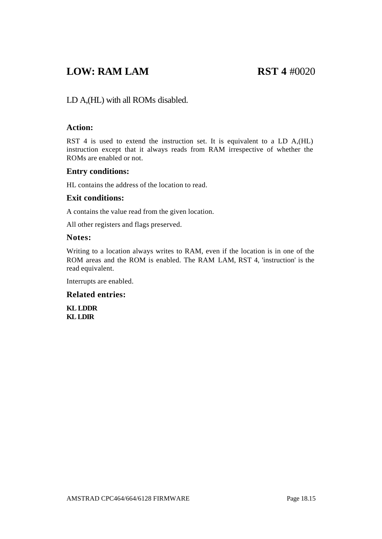### **LOW: RAM LAM RST 4** #0020

### LD A,(HL) with all ROMs disabled.

#### **Action:**

RST 4 is used to extend the instruction set. It is equivalent to a LD A,(HL) instruction except that it always reads from RAM irrespective of whether the ROMs are enabled or not.

#### **Entry conditions:**

HL contains the address of the location to read.

#### **Exit conditions:**

A contains the value read from the given location.

All other registers and flags preserved.

#### **Notes:**

Writing to a location always writes to RAM, even if the location is in one of the ROM areas and the ROM is enabled. The RAM LAM, RST 4, 'instruction' is the read equivalent.

Interrupts are enabled.

#### **Related entries:**

**KL LDDR KL LDIR**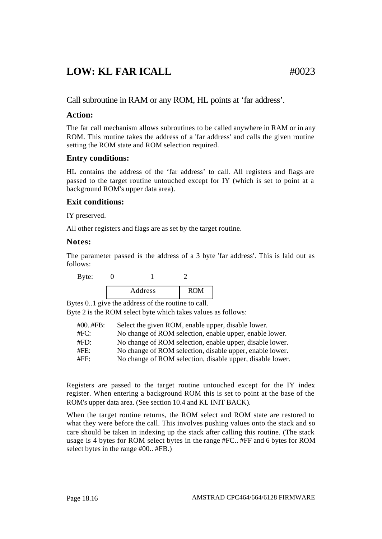### **LOW: KL FAR ICALL** #0023

Call subroutine in RAM or any ROM, HL points at 'far address'.

#### **Action:**

The far call mechanism allows subroutines to be called anywhere in RAM or in any ROM. This routine takes the address of a 'far address' and calls the given routine setting the ROM state and ROM selection required.

#### **Entry conditions:**

HL contains the address of the 'far address' to call. All registers and flags are passed to the target routine untouched except for IY (which is set to point at a background ROM's upper data area).

#### **Exit conditions:**

IY preserved.

All other registers and flags are as set by the target routine.

#### **Notes:**

The parameter passed is the address of a 3 byte 'far address'. This is laid out as follows:

Byte: 0 1 2 Address ROM

Bytes 0..1 give the address of the routine to call.

Byte 2 is the ROM select byte which takes values as follows:

| $\#00.$ #FB: | Select the given ROM, enable upper, disable lower.        |
|--------------|-----------------------------------------------------------|
| #FC:         | No change of ROM selection, enable upper, enable lower.   |
| #FD:         | No change of ROM selection, enable upper, disable lower.  |
| #FE:         | No change of ROM selection, disable upper, enable lower.  |
| #FF:         | No change of ROM selection, disable upper, disable lower. |

Registers are passed to the target routine untouched except for the IY index register. When entering a background ROM this is set to point at the base of the ROM's upper data area. (See section 10.4 and KL INIT BACK).

When the target routine returns, the ROM select and ROM state are restored to what they were before the call. This involves pushing values onto the stack and so care should be taken in indexing up the stack after calling this routine. (The stack usage is 4 bytes for ROM select bytes in the range #FC.. #FF and 6 bytes for ROM select bytes in the range #00.. #FB.)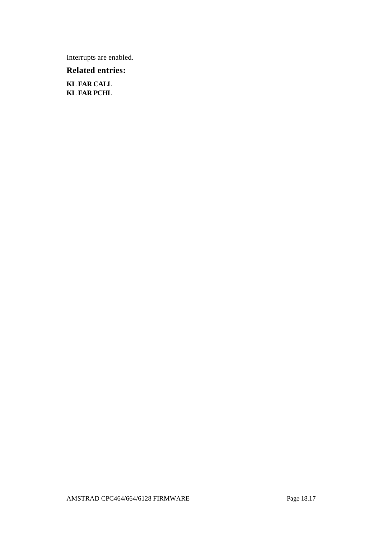Interrupts are enabled.

**Related entries:**

**KL FAR CALL KL FAR PCHL**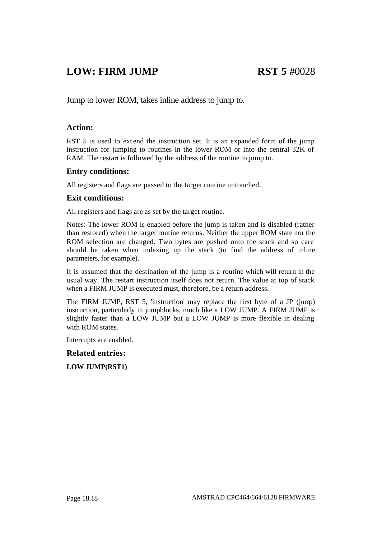### **LOW: FIRM JUMP RST 5** #0028

Jump to lower ROM, takes inline address to jump to.

#### **Action:**

RST 5 is used to extend the instruction set. It is an expanded form of the jump instruction for jumping to routines in the lower ROM or into the central 32K of RAM. The restart is followed by the address of the routine to jump to.

#### **Entry conditions:**

All registers and flags are passed to the target routine untouched.

#### **Exit conditions:**

All registers and flags are as set by the target routine.

Notes: The lower ROM is enabled before the jump is taken and is disabled (rather than restored) when the target routine returns. Neither the upper ROM state nor the ROM selection are changed. Two bytes are pushed onto the stack and so care should be taken when indexing up the stack (to find the address of inline parameters, for example).

It is assumed that the destination of the jump is a routine which will return in the usual way. The restart instruction itself does not return. The value at top of stack when a FIRM JUMP is executed must, therefore, be a return address.

The FIRM JUMP, RST 5, 'instruction' may replace the first byte of a JP (jump) instruction, particularly in jumpblocks, much like a LOW JUMP. A FIRM JUMP is slightly faster than a LOW JUMP but a LOW JUMP is more flexible in dealing with ROM states.

Interrupts are enabled.

**Related entries:**

**LOW JUMP(RST1)**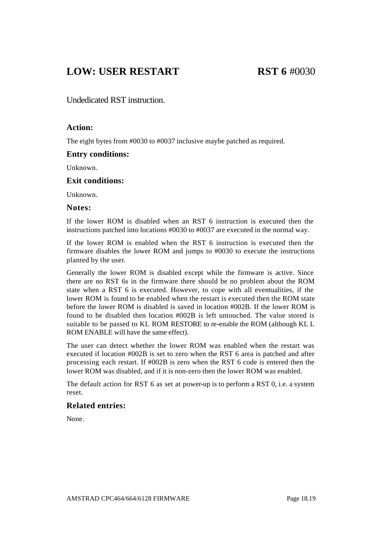### **LOW: USER RESTART RST 6** #0030

Undedicated RST instruction.

#### **Action:**

The eight bytes from #0030 to #0037 inclusive maybe patched as required.

#### **Entry conditions:**

Unknown.

#### **Exit conditions:**

Unknown.

#### **Notes:**

If the lower ROM is disabled when an RST 6 instruction is executed then the instructions patched into locations #0030 to #0037 are executed in the normal way.

If the lower ROM is enabled when the RST 6 instruction is executed then the firmware disables the lower ROM and jumps to #0030 to execute the instructions planted by the user.

Generally the lower ROM is disabled except while the firmware is active. Since there are no RST 6s in the firmware there should be no problem about the ROM state when a RST 6 is executed. However, to cope with all eventualities, if the lower ROM is found to be enabled when the restart is executed then the ROM state before the lower ROM is disabled is saved in location #002B. If the lower ROM is found to be disabled then location #002B is left untouched. The value stored is suitable to be passed to KL ROM RESTORE to re-enable the ROM (although KL L ROM ENABLE will have the same effect).

The user can detect whether the lower ROM was enabled when the restart was executed if location #002B is set to zero when the RST 6 area is patched and after processing each restart. If #002B is zero when the RST 6 code is entered then the lower ROM was disabled, and if it is non-zero then the lower ROM was enabled.

The default action for RST 6 as set at power-up is to perform a RST 0, i.e. a system reset.

#### **Related entries:**

None.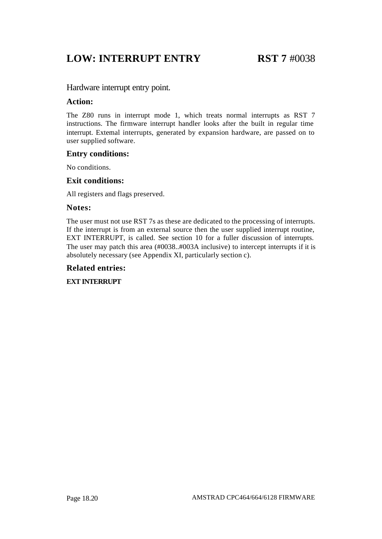### **LOW: INTERRUPT ENTRY RST 7** #0038

#### Hardware interrupt entry point.

#### **Action:**

The Z80 runs in interrupt mode 1, which treats normal interrupts as RST 7 instructions. The firmware interrupt handler looks after the built in regular time interrupt. External interrupts, generated by expansion hardware, are passed on to user supplied software.

#### **Entry conditions:**

No conditions.

#### **Exit conditions:**

All registers and flags preserved.

#### **Notes:**

The user must not use RST 7s as these are dedicated to the processing of interrupts. If the interrupt is from an external source then the user supplied interrupt routine, EXT INTERRUPT, is called. See section 10 for a fuller discussion of interrupts. The user may patch this area (#0038..#003A inclusive) to intercept interrupts if it is absolutely necessary (see Appendix XI, particularly section c).

#### **Related entries:**

#### **EXT INTERRUPT**